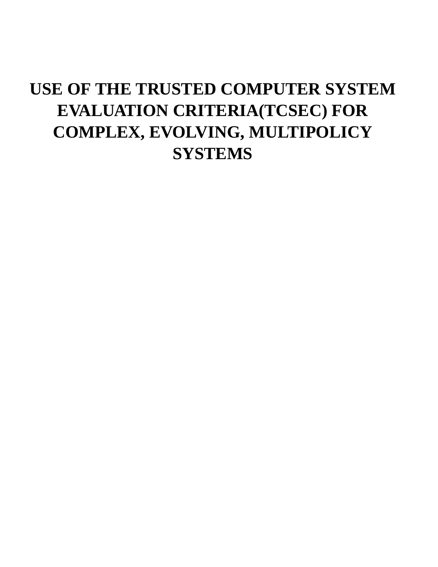# **USE OF THE TRUSTED COMPUTER SYSTEM EVALUATION CRITERIA(TCSEC) FOR COMPLEX, EVOLVING, MULTIPOLICY SYSTEMS**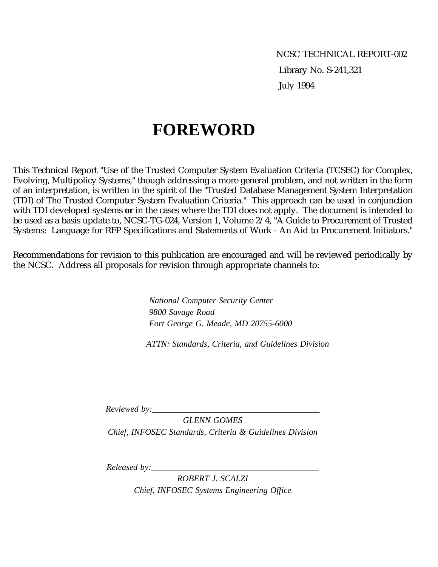NCSC TECHNICAL REPORT-002 Library No. S-241,321 July 1994

# **FOREWORD**

This Technical Report "Use of the Trusted Computer System Evaluation Criteria (TCSEC) for Complex, Evolving, Multipolicy Systems," though addressing a more general problem, and not written in the form of an interpretation, is written in the spirit of the "Trusted Database Management System Interpretation (TDI) of The Trusted Computer System Evaluation Criteria." This approach can be used in conjunction with TDI developed systems **or** in the cases where the TDI does not apply. The document is intended to be used as a basis update to, NCSC-TG-024, Version 1, Volume 2/4, "A Guide to Procurement of Trusted Systems: Language for RFP Specifications and Statements of Work - An Aid to Procurement Initiators."

Recommendations for revision to this publication are encouraged and will be reviewed periodically by the NCSC. Address all proposals for revision through appropriate channels to:

> *National Computer Security Center 9800 Savage Road Fort George G. Meade, MD 20755-6000*

 *ATTN: Standards, Criteria, and Guidelines Division*

*Reviewed by:\_\_\_\_\_\_\_\_\_\_\_\_\_\_\_\_\_\_\_\_\_\_\_\_\_\_\_\_\_\_\_\_\_\_\_\_\_\_\_*

*GLENN GOMES Chief, INFOSEC Standards, Criteria & Guidelines Division*

*Released by:\_\_\_\_\_\_\_\_\_\_\_\_\_\_\_\_\_\_\_\_\_\_\_\_\_\_\_\_\_\_\_\_\_\_\_\_\_\_\_*

*ROBERT J. SCALZI Chief, INFOSEC Systems Engineering Office*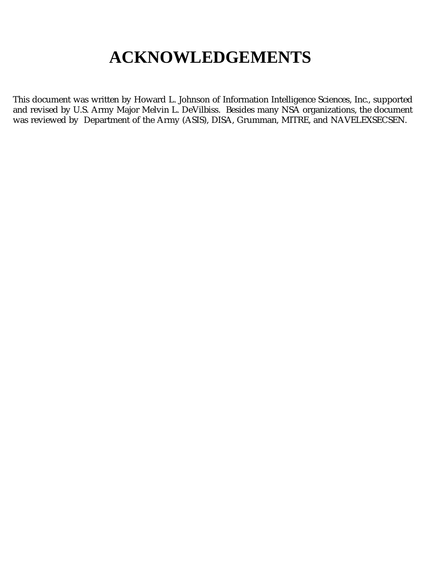# **ACKNOWLEDGEMENTS**

This document was written by Howard L. Johnson of Information Intelligence Sciences, Inc., supported and revised by U.S. Army Major Melvin L. DeVilbiss. Besides many NSA organizations, the document was reviewed by Department of the Army (ASIS), DISA, Grumman, MITRE, and NAVELEXSECSEN.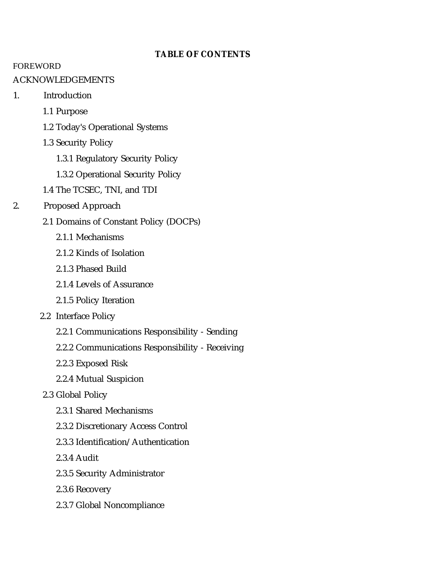#### **TABLE OF CONTENTS**

#### FOREWORD

#### ACKNOWLEDGEMENTS

- 1. Introduction
	- 1.1 Purpose
	- 1.2 Today's Operational Systems
	- 1.3 Security Policy
		- 1.3.1 Regulatory Security Policy
		- 1.3.2 Operational Security Policy
	- 1.4 The TCSEC, TNI, and TDI
- 2. Proposed Approach
	- 2.1 Domains of Constant Policy (DOCPs)
		- 2.1.1 Mechanisms
		- 2.1.2 Kinds of Isolation
		- 2.1.3 Phased Build
		- 2.1.4 Levels of Assurance
		- 2.1.5 Policy Iteration
	- 2.2 Interface Policy
		- 2.2.1 Communications Responsibility Sending
		- 2.2.2 Communications Responsibility Receiving
		- 2.2.3 Exposed Risk
		- 2.2.4 Mutual Suspicion

#### 2.3 Global Policy

- 2.3.1 Shared Mechanisms
- 2.3.2 Discretionary Access Control
- 2.3.3 Identification/Authentication
- 2.3.4 Audit
- 2.3.5 Security Administrator
- 2.3.6 Recovery
- 2.3.7 Global Noncompliance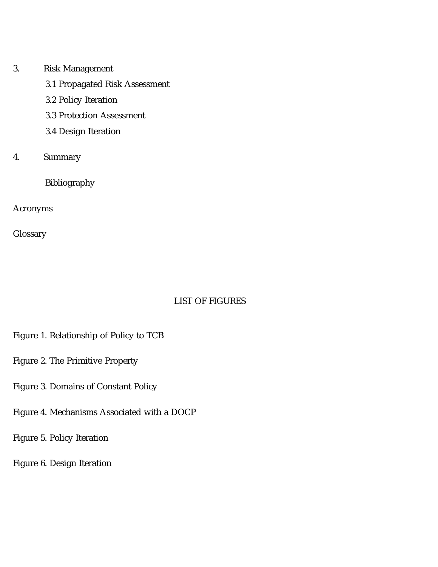3. Risk Management 3.1 Propagated Risk Assessment 3.2 Policy Iteration 3.3 Protection Assessment 3.4 Design Iteration 4. Summary

Bibliography

Acronyms

Glossary

### LIST OF FIGURES

- Figure 1. Relationship of Policy to TCB
- Figure 2. The Primitive Property
- Figure 3. Domains of Constant Policy
- Figure 4. Mechanisms Associated with a DOCP
- Figure 5. Policy Iteration
- Figure 6. Design Iteration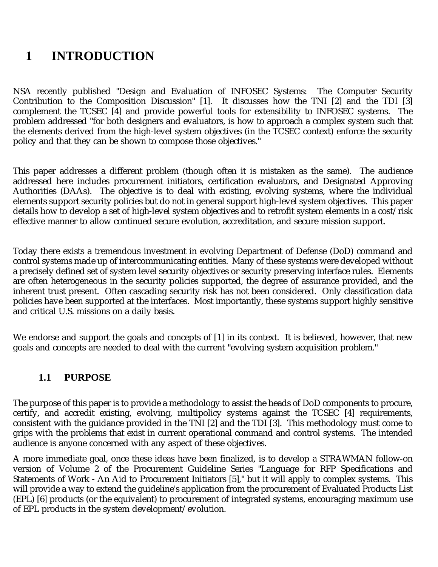# **1 INTRODUCTION**

NSA recently published "Design and Evaluation of INFOSEC Systems: The Computer Security Contribution to the Composition Discussion" [1]. It discusses how the TNI [2] and the TDI [3] complement the TCSEC [4] and provide powerful tools for extensibility to INFOSEC systems. The problem addressed "for both designers and evaluators, is how to approach a complex system such that the elements derived from the high-level system objectives (in the TCSEC context) enforce the security policy and that they can be shown to compose those objectives."

This paper addresses a different problem (though often it is mistaken as the same). The audience addressed here includes procurement initiators, certification evaluators, and Designated Approving Authorities (DAAs). The objective is to deal with existing, evolving systems, where the individual elements support security policies but do not in general support high-level system objectives. This paper details how to develop a set of high-level system objectives and to retrofit system elements in a cost/risk effective manner to allow continued secure evolution, accreditation, and secure mission support.

Today there exists a tremendous investment in evolving Department of Defense (DoD) command and control systems made up of intercommunicating entities. Many of these systems were developed without a precisely defined set of system level security objectives or security preserving interface rules. Elements are often heterogeneous in the security policies supported, the degree of assurance provided, and the inherent trust present. Often cascading security risk has not been considered. Only classification data policies have been supported at the interfaces. Most importantly, these systems support highly sensitive and critical U.S. missions on a daily basis.

We endorse and support the goals and concepts of [1] in its context. It is believed, however, that new goals and concepts are needed to deal with the current "evolving system acquisition problem."

# **1.1 PURPOSE**

The purpose of this paper is to provide a methodology to assist the heads of DoD components to procure, certify, and accredit existing, evolving, multipolicy systems against the TCSEC [4] requirements, consistent with the guidance provided in the TNI [2] and the TDI [3]. This methodology must come to grips with the problems that exist in current operational command and control systems. The intended audience is anyone concerned with any aspect of these objectives.

A more immediate goal, once these ideas have been finalized, is to develop a STRAWMAN follow-on version of Volume 2 of the Procurement Guideline Series "Language for RFP Specifications and Statements of Work - An Aid to Procurement Initiators [5]," but it will apply to complex systems. This will provide a way to extend the guideline's application from the procurement of Evaluated Products List (EPL) [6] products (or the equivalent) to procurement of integrated systems, encouraging maximum use of EPL products in the system development/evolution.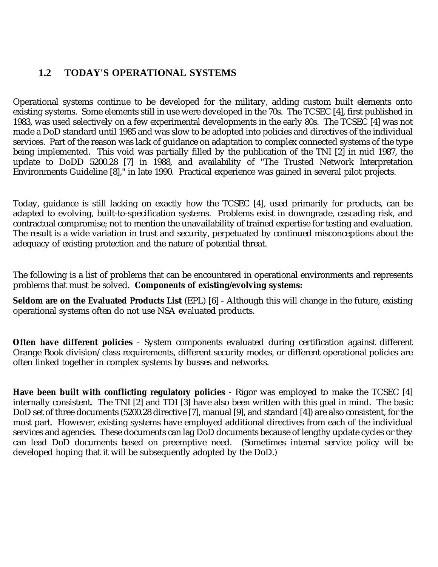### **1.2 TODAY'S OPERATIONAL SYSTEMS**

Operational systems continue to be developed for the military, adding custom built elements onto existing systems. Some elements still in use were developed in the 70s. The TCSEC [4], first published in 1983, was used selectively on a few experimental developments in the early 80s. The TCSEC [4] was not made a DoD standard until 1985 and was slow to be adopted into policies and directives of the individual services. Part of the reason was lack of guidance on adaptation to complex connected systems of the type being implemented. This void was partially filled by the publication of the TNI [2] in mid 1987, the update to DoDD 5200.28 [7] in 1988, and availability of "The Trusted Network Interpretation Environments Guideline [8]," in late 1990. Practical experience was gained in several pilot projects.

Today, guidance is still lacking on exactly how the TCSEC [4], used primarily for products, can be adapted to evolving, built-to-specification systems. Problems exist in downgrade, cascading risk, and contractual compromise; not to mention the unavailability of trained expertise for testing and evaluation. The result is a wide variation in trust and security, perpetuated by continued misconceptions about the adequacy of existing protection and the nature of potential threat.

The following is a list of problems that can be encountered in operational environments and represents problems that must be solved. **Components of existing/evolving systems:**

**Seldom are on the Evaluated Products List** (EPL) [6] - Although this will change in the future, existing operational systems often do not use NSA evaluated products.

**Often have different policies** - System components evaluated during certification against different Orange Book division/class requirements, different security modes, or different operational policies are often linked together in complex systems by busses and networks.

**Have been built with conflicting regulatory policies** - Rigor was employed to make the TCSEC [4] internally consistent. The TNI [2] and TDI [3] have also been written with this goal in mind. The basic DoD set of three documents (5200.28 directive [7], manual [9], and standard [4]) are also consistent, for the most part. However, existing systems have employed additional directives from each of the individual services and agencies. These documents can lag DoD documents because of lengthy update cycles or they can lead DoD documents based on preemptive need. (Sometimes internal service policy will be developed hoping that it will be subsequently adopted by the DoD.)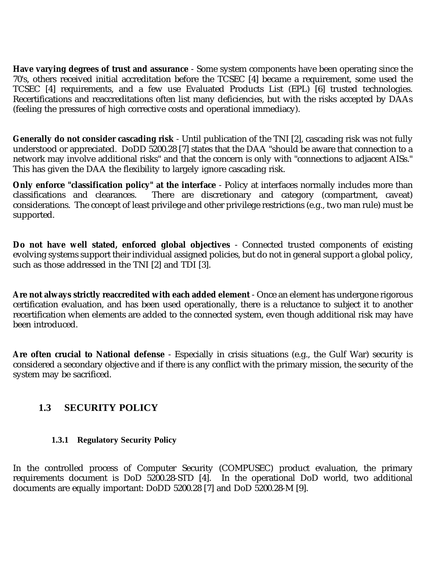**Have varying degrees of trust and assurance** - Some system components have been operating since the 70's, others received initial accreditation before the TCSEC [4] became a requirement, some used the TCSEC [4] requirements, and a few use Evaluated Products List (EPL) [6] trusted technologies. Recertifications and reaccreditations often list many deficiencies, but with the risks accepted by DAAs (feeling the pressures of high corrective costs and operational immediacy).

**Generally do not consider cascading risk** - Until publication of the TNI [2], cascading risk was not fully understood or appreciated. DoDD 5200.28 [7] states that the DAA "should be aware that connection to a network may involve additional risks" and that the concern is only with "connections to adjacent AISs." This has given the DAA the flexibility to largely ignore cascading risk.

**Only enforce "classification policy" at the interface** - Policy at interfaces normally includes more than classifications and clearances. There are discretionary and category (compartment, caveat) There are discretionary and category (compartment, caveat) considerations. The concept of least privilege and other privilege restrictions (e.g., two man rule) must be supported.

**Do not have well stated, enforced global objectives** - Connected trusted components of existing evolving systems support their individual assigned policies, but do not in general support a global policy, such as those addressed in the TNI [2] and TDI [3].

**Are not always strictly reaccredited with each added element** - Once an element has undergone rigorous certification evaluation, and has been used operationally, there is a reluctance to subject it to another recertification when elements are added to the connected system, even though additional risk may have been introduced.

**Are often crucial to National defense** - Especially in crisis situations (e.g., the Gulf War) security is considered a secondary objective and if there is any conflict with the primary mission, the security of the system may be sacrificed.

# **1.3 SECURITY POLICY**

#### **1.3.1 Regulatory Security Policy**

In the controlled process of Computer Security (COMPUSEC) product evaluation, the primary requirements document is DoD 5200.28-STD [4]. In the operational DoD world, two additional documents are equally important: DoDD 5200.28 [7] and DoD 5200.28-M [9].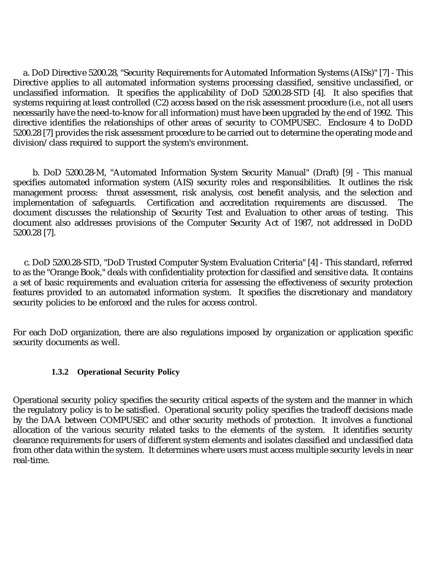a. DoD Directive 5200.28, "Security Requirements for Automated Information Systems (AISs)" [7] - This Directive applies to all automated information systems processing classified, sensitive unclassified, or unclassified information. It specifies the applicability of DoD 5200.28-STD [4]. It also specifies that systems requiring at least controlled (C2) access based on the risk assessment procedure (i.e., not all users necessarily have the need-to-know for all information) must have been upgraded by the end of 1992. This directive identifies the relationships of other areas of security to COMPUSEC. Enclosure 4 to DoDD 5200.28 [7] provides the risk assessment procedure to be carried out to determine the operating mode and division/class required to support the system's environment.

 b. DoD 5200.28-M, "Automated Information System Security Manual" (Draft) [9] - This manual specifies automated information system (AIS) security roles and responsibilities. It outlines the risk management process: threat assessment, risk analysis, cost benefit analysis, and the selection and<br>implementation of safeguards. Certification and accreditation requirements are discussed. The Certification and accreditation requirements are discussed. The document discusses the relationship of Security Test and Evaluation to other areas of testing. This document also addresses provisions of the Computer Security Act of 1987, not addressed in DoDD 5200.28 [7].

 c. DoD 5200.28-STD, "DoD Trusted Computer System Evaluation Criteria" [4] - This standard, referred to as the "Orange Book," deals with confidentiality protection for classified and sensitive data. It contains a set of basic requirements and evaluation criteria for assessing the effectiveness of security protection features provided to an automated information system. It specifies the discretionary and mandatory security policies to be enforced and the rules for access control.

For each DoD organization, there are also regulations imposed by organization or application specific security documents as well.

#### **1.3.2 Operational Security Policy**

Operational security policy specifies the security critical aspects of the system and the manner in which the regulatory policy is to be satisfied. Operational security policy specifies the tradeoff decisions made by the DAA between COMPUSEC and other security methods of protection. It involves a functional allocation of the various security related tasks to the elements of the system. It identifies security clearance requirements for users of different system elements and isolates classified and unclassified data from other data within the system. It determines where users must access multiple security levels in near real-time.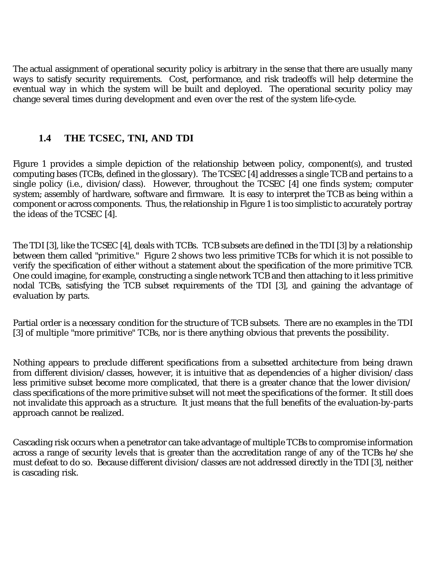The actual assignment of operational security policy is arbitrary in the sense that there are usually many ways to satisfy security requirements. Cost, performance, and risk tradeoffs will help determine the eventual way in which the system will be built and deployed. The operational security policy may change several times during development and even over the rest of the system life-cycle.

### **1.4 THE TCSEC, TNI, AND TDI**

Figure 1 provides a simple depiction of the relationship between policy, component(s), and trusted computing bases (TCBs, defined in the glossary). The TCSEC [4] addresses a single TCB and pertains to a single policy (i.e., division/class). However, throughout the TCSEC [4] one finds system; computer system; assembly of hardware, software and firmware. It is easy to interpret the TCB as being within a component or across components. Thus, the relationship in Figure 1 is too simplistic to accurately portray the ideas of the TCSEC  $[\overline{4}]$ .

The TDI [3], like the TCSEC [4], deals with TCBs. TCB subsets are defined in the TDI [3] by a relationship between them called "primitive." Figure 2 shows two less primitive TCBs for which it is not possible to verify the specification of either without a statement about the specification of the more primitive TCB. One could imagine, for example, constructing a single network TCB and then attaching to it less primitive nodal TCBs, satisfying the TCB subset requirements of the TDI [3], and gaining the advantage of evaluation by parts.

Partial order is a necessary condition for the structure of TCB subsets. There are no examples in the TDI [3] of multiple "more primitive" TCBs, nor is there anything obvious that prevents the possibility.

Nothing appears to preclude different specifications from a subsetted architecture from being drawn from different division/classes, however, it is intuitive that as dependencies of a higher division/class less primitive subset become more complicated, that there is a greater chance that the lower division/ class specifications of the more primitive subset will not meet the specifications of the former. It still does not invalidate this approach as a structure. It just means that the full benefits of the evaluation-by-parts approach cannot be realized.

Cascading risk occurs when a penetrator can take advantage of multiple TCBs to compromise information across a range of security levels that is greater than the accreditation range of any of the TCBs he/she must defeat to do so. Because different division/classes are not addressed directly in the TDI [3], neither is cascading risk.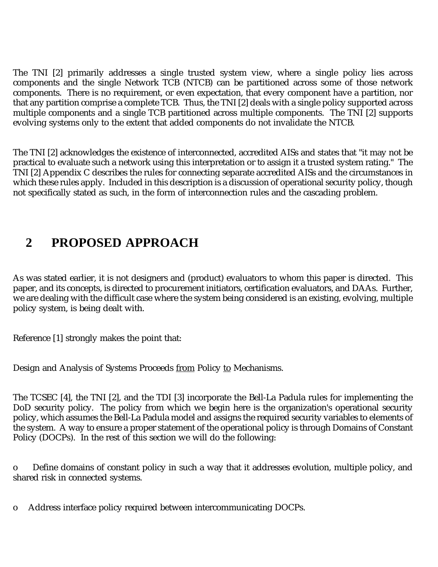The TNI [2] primarily addresses a single trusted system view, where a single policy lies across components and the single Network TCB (NTCB) can be partitioned across some of those network components. There is no requirement, or even expectation, that every component have a partition, nor that any partition comprise a complete TCB. Thus, the TNI [2] deals with a single policy supported across multiple components and a single TCB partitioned across multiple components. The TNI [2] supports evolving systems only to the extent that added components do not invalidate the NTCB.

The TNI [2] acknowledges the existence of interconnected, accredited AISs and states that "it may not be practical to evaluate such a network using this interpretation or to assign it a trusted system rating." The TNI [2] Appendix C describes the rules for connecting separate accredited AISs and the circumstances in which these rules apply. Included in this description is a discussion of operational security policy, though not specifically stated as such, in the form of interconnection rules and the cascading problem.

# **2 PROPOSED APPROACH**

As was stated earlier, it is not designers and (product) evaluators to whom this paper is directed. This paper, and its concepts, is directed to procurement initiators, certification evaluators, and DAAs. Further, we are dealing with the difficult case where the system being considered is an existing, evolving, multiple policy system, is being dealt with.

Reference [1] strongly makes the point that:

Design and Analysis of Systems Proceeds from Policy to Mechanisms.

The TCSEC [4], the TNI [2], and the TDI [3] incorporate the Bell-La Padula rules for implementing the DoD security policy. The policy from which we begin here is the organization's operational security policy, which assumes the Bell-La Padula model and assigns the required security variables to elements of the system. A way to ensure a proper statement of the operational policy is through Domains of Constant Policy (DOCPs). In the rest of this section we will do the following:

o Define domains of constant policy in such a way that it addresses evolution, multiple policy, and shared risk in connected systems.

o Address interface policy required between intercommunicating DOCPs.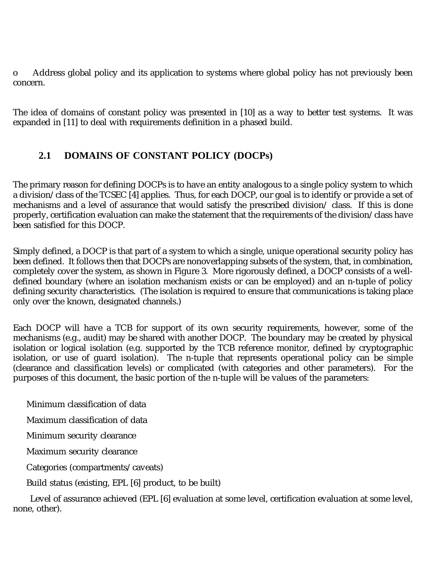o Address global policy and its application to systems where global policy has not previously been concern.

The idea of domains of constant policy was presented in [10] as a way to better test systems. It was expanded in [11] to deal with requirements definition in a phased build.

# **2.1 DOMAINS OF CONSTANT POLICY (DOCPs)**

The primary reason for defining DOCPs is to have an entity analogous to a single policy system to which a division/class of the TCSEC [4] applies. Thus, for each DOCP, our goal is to identify or provide a set of mechanisms and a level of assurance that would satisfy the prescribed division/ class. If this is done properly, certification evaluation can make the statement that the requirements of the division/class have been satisfied for this DOCP.

Simply defined, a DOCP is that part of a system to which a single, unique operational security policy has been defined. It follows then that DOCPs are nonoverlapping subsets of the system, that, in combination, completely cover the system, as shown in Figure 3. More rigorously defined, a DOCP consists of a welldefined boundary (where an isolation mechanism exists or can be employed) and an n-tuple of policy defining security characteristics. (The isolation is required to ensure that communications is taking place only over the known, designated channels.)

Each DOCP will have a TCB for support of its own security requirements, however, some of the mechanisms (e.g., audit) may be shared with another DOCP. The boundary may be created by physical isolation or logical isolation (e.g. supported by the TCB reference monitor, defined by cryptographic isolation, or use of guard isolation). The n-tuple that represents operational policy can be simple (clearance and classification levels) or complicated (with categories and other parameters). For the purposes of this document, the basic portion of the n-tuple will be values of the parameters:

Minimum classification of data

Maximum classification of data

Minimum security clearance

Maximum security clearance

Categories (compartments/caveats)

Build status (existing, EPL [6] product, to be built)

 Level of assurance achieved (EPL [6] evaluation at some level, certification evaluation at some level, none, other).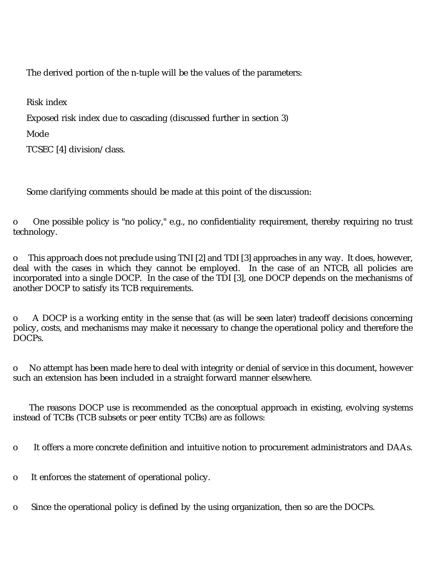The derived portion of the n-tuple will be the values of the parameters:

Risk index

Exposed risk index due to cascading (discussed further in section 3)

Mode

TCSEC [4] division/class.

Some clarifying comments should be made at this point of the discussion:

o One possible policy is "no policy," e.g., no confidentiality requirement, thereby requiring no trust technology.

o This approach does not preclude using TNI [2] and TDI [3] approaches in any way. It does, however, deal with the cases in which they cannot be employed. In the case of an NTCB, all policies are incorporated into a single DOCP. In the case of the TDI [3], one DOCP depends on the mechanisms of another DOCP to satisfy its TCB requirements.

o A DOCP is a working entity in the sense that (as will be seen later) tradeoff decisions concerning policy, costs, and mechanisms may make it necessary to change the operational policy and therefore the DOCPs.

o No attempt has been made here to deal with integrity or denial of service in this document, however such an extension has been included in a straight forward manner elsewhere.

 The reasons DOCP use is recommended as the conceptual approach in existing, evolving systems instead of TCBs (TCB subsets or peer entity TCBs) are as follows:

o It offers a more concrete definition and intuitive notion to procurement administrators and DAAs.

o It enforces the statement of operational policy.

o Since the operational policy is defined by the using organization, then so are the DOCPs.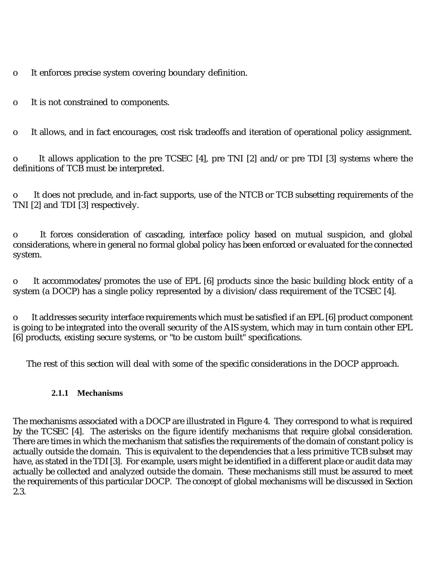o It enforces precise system covering boundary definition.

o It is not constrained to components.

o It allows, and in fact encourages, cost risk tradeoffs and iteration of operational policy assignment.

o It allows application to the pre TCSEC [4], pre TNI [2] and/or pre TDI [3] systems where the definitions of TCB must be interpreted.

o It does not preclude, and in-fact supports, use of the NTCB or TCB subsetting requirements of the TNI [2] and TDI [3] respectively.

o It forces consideration of cascading, interface policy based on mutual suspicion, and global considerations, where in general no formal global policy has been enforced or evaluated for the connected system.

o It accommodates/promotes the use of EPL [6] products since the basic building block entity of a system (a DOCP) has a single policy represented by a division/class requirement of the TCSEC [4].

o It addresses security interface requirements which must be satisfied if an EPL [6] product component is going to be integrated into the overall security of the AIS system, which may in turn contain other EPL [6] products, existing secure systems, or "to be custom built" specifications.

The rest of this section will deal with some of the specific considerations in the DOCP approach.

#### **2.1.1 Mechanisms**

The mechanisms associated with a DOCP are illustrated in Figure 4. They correspond to what is required by the TCSEC [4]. The asterisks on the figure identify mechanisms that require global consideration. There are times in which the mechanism that satisfies the requirements of the domain of constant policy is actually outside the domain. This is equivalent to the dependencies that a less primitive TCB subset may have, as stated in the TDI [3]. For example, users might be identified in a different place or audit data may actually be collected and analyzed outside the domain. These mechanisms still must be assured to meet the requirements of this particular DOCP. The concept of global mechanisms will be discussed in Section 2.3.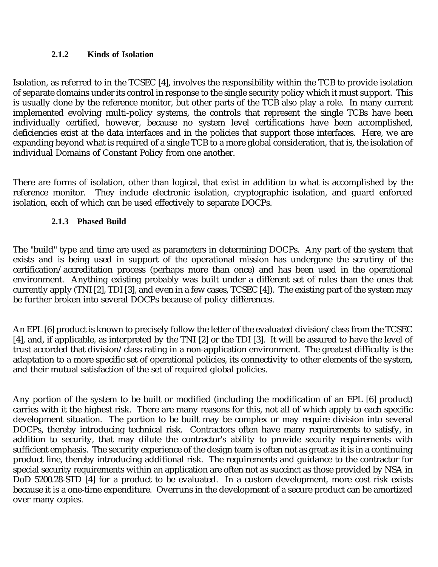#### **2.1.2 Kinds of Isolation**

Isolation, as referred to in the TCSEC [4], involves the responsibility within the TCB to provide isolation of separate domains under its control in response to the single security policy which it must support. This is usually done by the reference monitor, but other parts of the TCB also play a role. In many current implemented evolving multi-policy systems, the controls that represent the single TCBs have been individually certified, however, because no system level certifications have been accomplished, deficiencies exist at the data interfaces and in the policies that support those interfaces. Here, we are expanding beyond what is required of a single TCB to a more global consideration, that is, the isolation of individual Domains of Constant Policy from one another.

There are forms of isolation, other than logical, that exist in addition to what is accomplished by the reference monitor. They include electronic isolation, cryptographic isolation, and guard enforced isolation, each of which can be used effectively to separate DOCPs.

#### **2.1.3 Phased Build**

The "build" type and time are used as parameters in determining DOCPs. Any part of the system that exists and is being used in support of the operational mission has undergone the scrutiny of the certification/accreditation process (perhaps more than once) and has been used in the operational environment. Anything existing probably was built under a different set of rules than the ones that currently apply (TNI [2], TDI [3], and even in a few cases, TCSEC [4]). The existing part of the system may be further broken into several DOCPs because of policy differences.

An EPL [6] product is known to precisely follow the letter of the evaluated division/class from the TCSEC [4], and, if applicable, as interpreted by the TNI [2] or the TDI [3]. It will be assured to have the level of trust accorded that division/class rating in a non-application environment. The greatest difficulty is the adaptation to a more specific set of operational policies, its connectivity to other elements of the system, and their mutual satisfaction of the set of required global policies.

Any portion of the system to be built or modified (including the modification of an EPL [6] product) carries with it the highest risk. There are many reasons for this, not all of which apply to each specific development situation. The portion to be built may be complex or may require division into several DOCPs, thereby introducing technical risk. Contractors often have many requirements to satisfy, in addition to security, that may dilute the contractor's ability to provide security requirements with sufficient emphasis. The security experience of the design team is often not as great as it is in a continuing product line, thereby introducing additional risk. The requirements and guidance to the contractor for special security requirements within an application are often not as succinct as those provided by NSA in DoD 5200.28-STD [4] for a product to be evaluated. In a custom development, more cost risk exists because it is a one-time expenditure. Overruns in the development of a secure product can be amortized over many copies.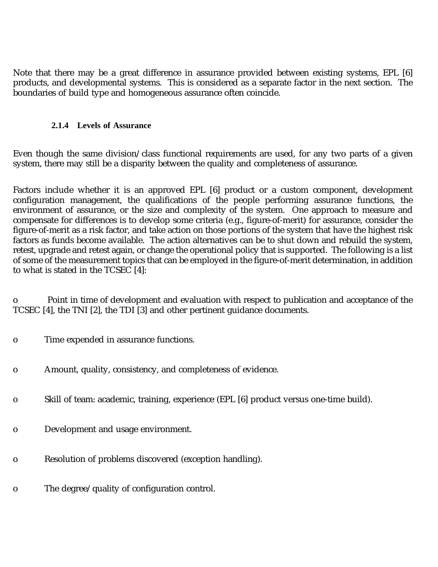Note that there may be a great difference in assurance provided between existing systems, EPL [6] products, and developmental systems. This is considered as a separate factor in the next section. The boundaries of build type and homogeneous assurance often coincide.

#### **2.1.4 Levels of Assurance**

Even though the same division/class functional requirements are used, for any two parts of a given system, there may still be a disparity between the quality and completeness of assurance.

Factors include whether it is an approved EPL [6] product or a custom component, development configuration management, the qualifications of the people performing assurance functions, the environment of assurance, or the size and complexity of the system. One approach to measure and compensate for differences is to develop some criteria (e.g., figure-of-merit) for assurance, consider the figure-of-merit as a risk factor, and take action on those portions of the system that have the highest risk factors as funds become available. The action alternatives can be to shut down and rebuild the system, retest, upgrade and retest again, or change the operational policy that is supported. The following is a list of some of the measurement topics that can be employed in the figure-of-merit determination, in addition to what is stated in the TCSEC [4]:

o Point in time of development and evaluation with respect to publication and acceptance of the TCSEC [4], the TNI [2], the TDI [3] and other pertinent guidance documents.

- o Time expended in assurance functions.
- o Amount, quality, consistency, and completeness of evidence.
- o Skill of team: academic, training, experience (EPL [6] product versus one-time build).
- o Development and usage environment.
- o Resolution of problems discovered (exception handling).
- o The degree/quality of configuration control.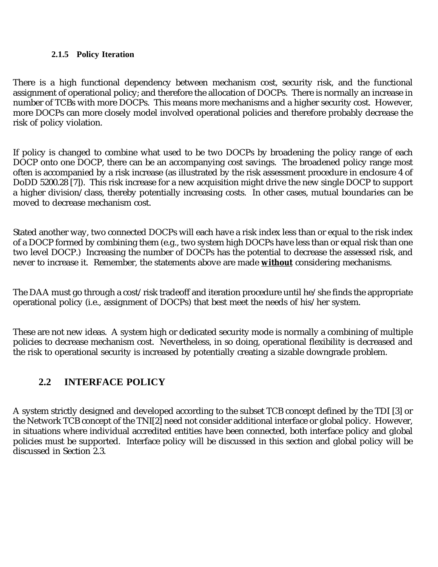#### **2.1.5 Policy Iteration**

There is a high functional dependency between mechanism cost, security risk, and the functional assignment of operational policy; and therefore the allocation of DOCPs. There is normally an increase in number of TCBs with more DOCPs. This means more mechanisms and a higher security cost. However, more DOCPs can more closely model involved operational policies and therefore probably decrease the risk of policy violation.

If policy is changed to combine what used to be two DOCPs by broadening the policy range of each DOCP onto one DOCP, there can be an accompanying cost savings. The broadened policy range most often is accompanied by a risk increase (as illustrated by the risk assessment procedure in enclosure 4 of DoDD 5200.28 [7]). This risk increase for a new acquisition might drive the new single DOCP to support a higher division/class, thereby potentially increasing costs. In other cases, mutual boundaries can be moved to decrease mechanism cost.

Stated another way, two connected DOCPs will each have a risk index less than or equal to the risk index of a DOCP formed by combining them (e.g., two system high DOCPs have less than or equal risk than one two level DOCP.) Increasing the number of DOCPs has the potential to decrease the assessed risk, and never to increase it. Remember, the statements above are made **without** considering mechanisms.

The DAA must go through a cost/risk tradeoff and iteration procedure until he/she finds the appropriate operational policy (i.e., assignment of DOCPs) that best meet the needs of his/her system.

These are not new ideas. A system high or dedicated security mode is normally a combining of multiple policies to decrease mechanism cost. Nevertheless, in so doing, operational flexibility is decreased and the risk to operational security is increased by potentially creating a sizable downgrade problem.

# **2.2 INTERFACE POLICY**

A system strictly designed and developed according to the subset TCB concept defined by the TDI [3] or the Network TCB concept of the TNI[2] need not consider additional interface or global policy. However, in situations where individual accredited entities have been connected, both interface policy and global policies must be supported. Interface policy will be discussed in this section and global policy will be discussed in Section 2.3.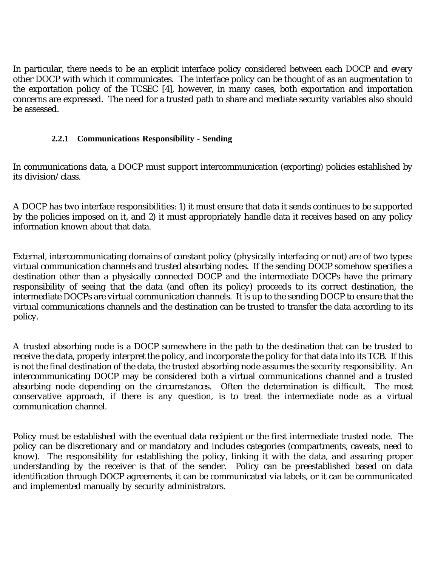In particular, there needs to be an explicit interface policy considered between each DOCP and every other DOCP with which it communicates. The interface policy can be thought of as an augmentation to the exportation policy of the TCSEC [4], however, in many cases, both exportation and importation concerns are expressed. The need for a trusted path to share and mediate security variables also should be assessed.

#### **2.2.1 Communications Responsibility - Sending**

In communications data, a DOCP must support intercommunication (exporting) policies established by its division/class.

A DOCP has two interface responsibilities: 1) it must ensure that data it sends continues to be supported by the policies imposed on it, and 2) it must appropriately handle data it receives based on any policy information known about that data.

External, intercommunicating domains of constant policy (physically interfacing or not) are of two types: virtual communication channels and trusted absorbing nodes. If the sending DOCP somehow specifies a destination other than a physically connected DOCP and the intermediate DOCPs have the primary responsibility of seeing that the data (and often its policy) proceeds to its correct destination, the intermediate DOCPs are virtual communication channels. It is up to the sending DOCP to ensure that the virtual communications channels and the destination can be trusted to transfer the data according to its policy.

A trusted absorbing node is a DOCP somewhere in the path to the destination that can be trusted to receive the data, properly interpret the policy, and incorporate the policy for that data into its TCB. If this is not the final destination of the data, the trusted absorbing node assumes the security responsibility. An intercommunicating DOCP may be considered both a virtual communications channel and a trusted absorbing node depending on the circumstances. Often the determination is difficult. The most conservative approach, if there is any question, is to treat the intermediate node as a virtual communication channel.

Policy must be established with the eventual data recipient or the first intermediate trusted node. The policy can be discretionary and or mandatory and includes categories (compartments, caveats, need to know). The responsibility for establishing the policy, linking it with the data, and assuring proper understanding by the receiver is that of the sender. Policy can be preestablished based on data identification through DOCP agreements, it can be communicated via labels, or it can be communicated and implemented manually by security administrators.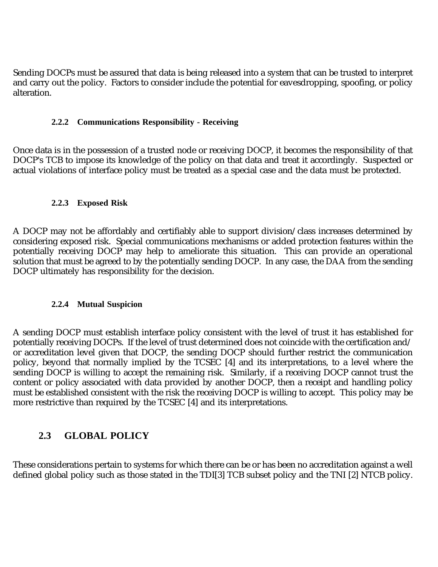Sending DOCPs must be assured that data is being released into a system that can be trusted to interpret and carry out the policy. Factors to consider include the potential for eavesdropping, spoofing, or policy alteration.

#### **2.2.2 Communications Responsibility - Receiving**

Once data is in the possession of a trusted node or receiving DOCP, it becomes the responsibility of that DOCP's TCB to impose its knowledge of the policy on that data and treat it accordingly. Suspected or actual violations of interface policy must be treated as a special case and the data must be protected.

#### **2.2.3 Exposed Risk**

A DOCP may not be affordably and certifiably able to support division/class increases determined by considering exposed risk. Special communications mechanisms or added protection features within the potentially receiving DOCP may help to ameliorate this situation. This can provide an operational solution that must be agreed to by the potentially sending DOCP. In any case, the DAA from the sending DOCP ultimately has responsibility for the decision.

#### **2.2.4 Mutual Suspicion**

A sending DOCP must establish interface policy consistent with the level of trust it has established for potentially receiving DOCPs. If the level of trust determined does not coincide with the certification and/ or accreditation level given that DOCP, the sending DOCP should further restrict the communication policy, beyond that normally implied by the TCSEC [4] and its interpretations, to a level where the sending DOCP is willing to accept the remaining risk. Similarly, if a receiving DOCP cannot trust the content or policy associated with data provided by another DOCP, then a receipt and handling policy must be established consistent with the risk the receiving DOCP is willing to accept. This policy may be more restrictive than required by the TCSEC [4] and its interpretations.

### **2.3 GLOBAL POLICY**

These considerations pertain to systems for which there can be or has been no accreditation against a well defined global policy such as those stated in the TDI[3] TCB subset policy and the TNI [2] NTCB policy.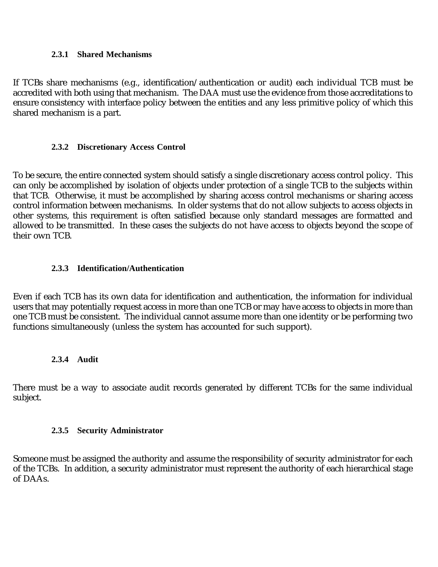#### **2.3.1 Shared Mechanisms**

If TCBs share mechanisms (e.g., identification/authentication or audit) each individual TCB must be accredited with both using that mechanism. The DAA must use the evidence from those accreditations to ensure consistency with interface policy between the entities and any less primitive policy of which this shared mechanism is a part.

#### **2.3.2 Discretionary Access Control**

To be secure, the entire connected system should satisfy a single discretionary access control policy. This can only be accomplished by isolation of objects under protection of a single TCB to the subjects within that TCB. Otherwise, it must be accomplished by sharing access control mechanisms or sharing access control information between mechanisms. In older systems that do not allow subjects to access objects in other systems, this requirement is often satisfied because only standard messages are formatted and allowed to be transmitted. In these cases the subjects do not have access to objects beyond the scope of their own TCB.

#### **2.3.3 Identification/Authentication**

Even if each TCB has its own data for identification and authentication, the information for individual users that may potentially request access in more than one TCB or may have access to objects in more than one TCB must be consistent. The individual cannot assume more than one identity or be performing two functions simultaneously (unless the system has accounted for such support).

#### **2.3.4 Audit**

There must be a way to associate audit records generated by different TCBs for the same individual subject.

#### **2.3.5 Security Administrator**

Someone must be assigned the authority and assume the responsibility of security administrator for each of the TCBs. In addition, a security administrator must represent the authority of each hierarchical stage of DAAs.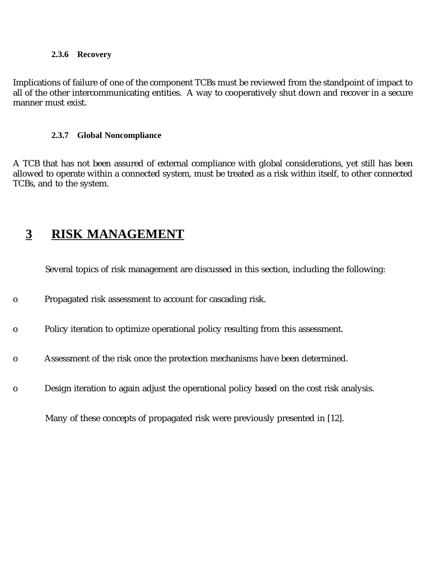#### **2.3.6 Recovery**

Implications of failure of one of the component TCBs must be reviewed from the standpoint of impact to all of the other intercommunicating entities. A way to cooperatively shut down and recover in a secure manner must exist.

#### **2.3.7 Global Noncompliance**

A TCB that has not been assured of external compliance with global considerations, yet still has been allowed to operate within a connected system, must be treated as a risk within itself, to other connected TCBs, and to the system.

# **3 RISK MANAGEMENT**

Several topics of risk management are discussed in this section, including the following:

- o Propagated risk assessment to account for cascading risk.
- o Policy iteration to optimize operational policy resulting from this assessment.
- o Assessment of the risk once the protection mechanisms have been determined.
- o Design iteration to again adjust the operational policy based on the cost risk analysis.

Many of these concepts of propagated risk were previously presented in [12].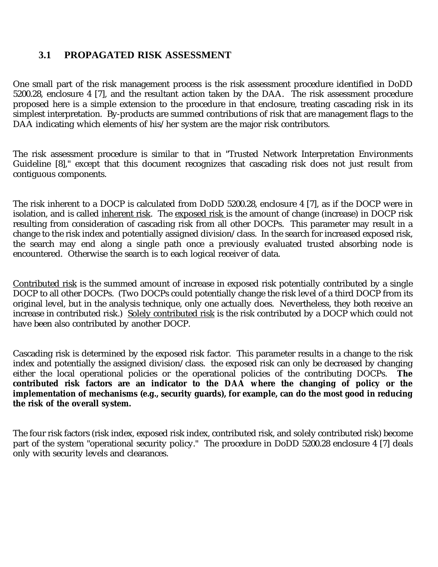## **3.1 PROPAGATED RISK ASSESSMENT**

One small part of the risk management process is the risk assessment procedure identified in DoDD 5200.28, enclosure 4 [7], and the resultant action taken by the DAA. The risk assessment procedure proposed here is a simple extension to the procedure in that enclosure, treating cascading risk in its simplest interpretation. By-products are summed contributions of risk that are management flags to the DAA indicating which elements of his/her system are the major risk contributors.

The risk assessment procedure is similar to that in "Trusted Network Interpretation Environments Guideline [8]," except that this document recognizes that cascading risk does not just result from contiguous components.

The risk inherent to a DOCP is calculated from DoDD 5200.28, enclosure 4 [7], as if the DOCP were in isolation, and is called inherent risk. The exposed risk is the amount of change (increase) in DOCP risk resulting from consideration of cascading risk from all other DOCPs. This parameter may result in a change to the risk index and potentially assigned division/class. In the search for increased exposed risk, the search may end along a single path once a previously evaluated trusted absorbing node is encountered. Otherwise the search is to each logical receiver of data.

Contributed risk is the summed amount of increase in exposed risk potentially contributed by a single DOCP to all other DOCPs. (Two DOCPs could potentially change the risk level of a third DOCP from its original level, but in the analysis technique, only one actually does. Nevertheless, they both receive an increase in contributed risk.) Solely contributed risk is the risk contributed by a DOCP which could not have been also contributed by another DOCP.

Cascading risk is determined by the exposed risk factor. This parameter results in a change to the risk index and potentially the assigned division/class. the exposed risk can only be decreased by changing either the local operational policies or the operational policies of the contributing DOCPs. **The contributed risk factors are an indicator to the DAA where the changing of policy or the implementation of mechanisms (e.g., security guards), for example, can do the most good in reducing the risk of the overall system.**

The four risk factors (risk index, exposed risk index, contributed risk, and solely contributed risk) become part of the system "operational security policy." The procedure in DoDD 5200.28 enclosure 4 [7] deals only with security levels and clearances.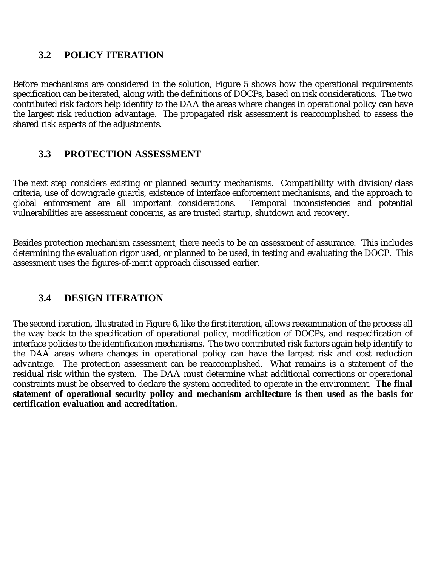## **3.2 POLICY ITERATION**

Before mechanisms are considered in the solution, Figure 5 shows how the operational requirements specification can be iterated, along with the definitions of DOCPs, based on risk considerations. The two contributed risk factors help identify to the DAA the areas where changes in operational policy can have the largest risk reduction advantage. The propagated risk assessment is reaccomplished to assess the shared risk aspects of the adjustments.

### **3.3 PROTECTION ASSESSMENT**

The next step considers existing or planned security mechanisms. Compatibility with division/class criteria, use of downgrade guards, existence of interface enforcement mechanisms, and the approach to global enforcement are all important considerations. Temporal inconsistencies and potential vulnerabilities are assessment concerns, as are trusted startup, shutdown and recovery.

Besides protection mechanism assessment, there needs to be an assessment of assurance. This includes determining the evaluation rigor used, or planned to be used, in testing and evaluating the DOCP. This assessment uses the figures-of-merit approach discussed earlier.

# **3.4 DESIGN ITERATION**

The second iteration, illustrated in Figure 6, like the first iteration, allows reexamination of the process all the way back to the specification of operational policy, modification of DOCPs, and respecification of interface policies to the identification mechanisms. The two contributed risk factors again help identify to the DAA areas where changes in operational policy can have the largest risk and cost reduction advantage. The protection assessment can be reaccomplished. What remains is a statement of the residual risk within the system. The DAA must determine what additional corrections or operational constraints must be observed to declare the system accredited to operate in the environment. **The final statement of operational security policy and mechanism architecture is then used as the basis for certification evaluation and accreditation.**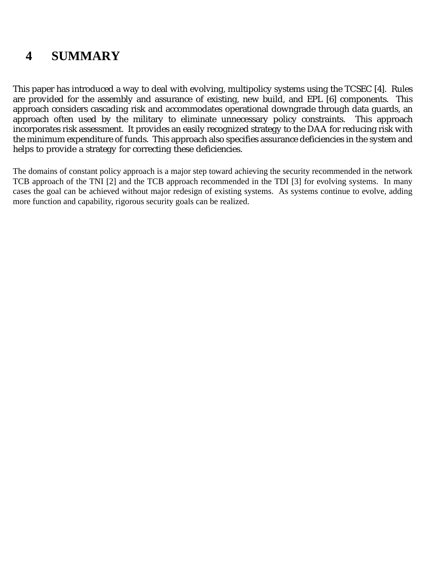# **4 SUMMARY**

This paper has introduced a way to deal with evolving, multipolicy systems using the TCSEC [4]. Rules are provided for the assembly and assurance of existing, new build, and EPL [6] components. This approach considers cascading risk and accommodates operational downgrade through data guards, an<br>approach often used by the military to eliminate unnecessary policy constraints. This approach approach often used by the military to eliminate unnecessary policy constraints. incorporates risk assessment. It provides an easily recognized strategy to the DAA for reducing risk with the minimum expenditure of funds. This approach also specifies assurance deficiencies in the system and helps to provide a strategy for correcting these deficiencies.

The domains of constant policy approach is a major step toward achieving the security recommended in the network TCB approach of the TNI [2] and the TCB approach recommended in the TDI [3] for evolving systems. In many cases the goal can be achieved without major redesign of existing systems. As systems continue to evolve, adding more function and capability, rigorous security goals can be realized.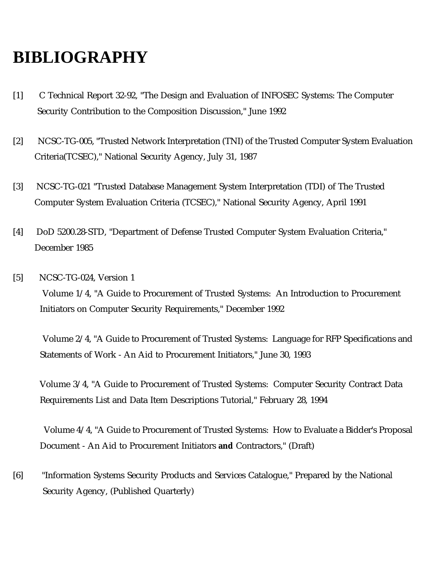# **BIBLIOGRAPHY**

- [1] C Technical Report 32-92, "The Design and Evaluation of INFOSEC Systems: The Computer Security Contribution to the Composition Discussion," June 1992
- [2] NCSC-TG-005, "Trusted Network Interpretation (TNI) of the Trusted Computer System Evaluation Criteria(TCSEC)," National Security Agency, July 31, 1987
- [3] NCSC-TG-021 "Trusted Database Management System Interpretation (TDI) of The Trusted Computer System Evaluation Criteria (TCSEC)," National Security Agency, April 1991
- [4] DoD 5200.28-STD, "Department of Defense Trusted Computer System Evaluation Criteria," December 1985
- [5] NCSC-TG-024, Version 1 Volume 1/4, "A Guide to Procurement of Trusted Systems: An Introduction to Procurement Initiators on Computer Security Requirements," December 1992

 Volume 2/4, "A Guide to Procurement of Trusted Systems: Language for RFP Specifications and Statements of Work - An Aid to Procurement Initiators," June 30, 1993

 Volume 3/4, "A Guide to Procurement of Trusted Systems: Computer Security Contract Data Requirements List and Data Item Descriptions Tutorial," February 28, 1994

 Volume 4/4, "A Guide to Procurement of Trusted Systems: How to Evaluate a Bidder's Proposal Document - An Aid to Procurement Initiators **and** Contractors," (Draft)

[6] "Information Systems Security Products and Services Catalogue," Prepared by the National Security Agency, (Published Quarterly)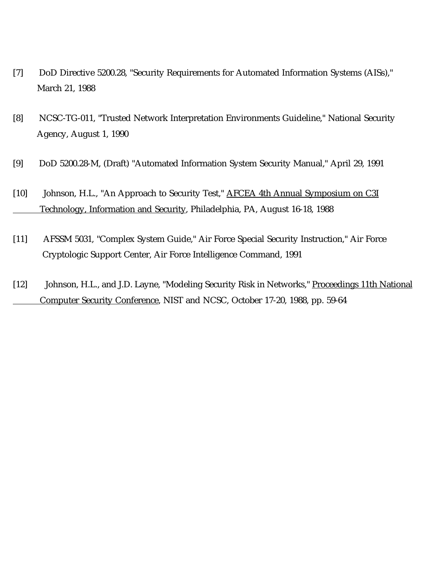- [7] DoD Directive 5200.28, "Security Requirements for Automated Information Systems (AISs)," March 21, 1988
- [8] NCSC-TG-011, "Trusted Network Interpretation Environments Guideline," National Security Agency, August 1, 1990
- [9] DoD 5200.28-M, (Draft) "Automated Information System Security Manual," April 29, 1991
- [10] Johnson, H.L., "An Approach to Security Test," AFCEA 4th Annual Symposium on C3I Technology, Information and Security, Philadelphia, PA, August 16-18, 1988
- [11] AFSSM 5031, "Complex System Guide," Air Force Special Security Instruction," Air Force Cryptologic Support Center, Air Force Intelligence Command, 1991
- [12] Johnson, H.L., and J.D. Layne, "Modeling Security Risk in Networks," Proceedings 11th National Computer Security Conference, NIST and NCSC, October 17-20, 1988, pp. 59-64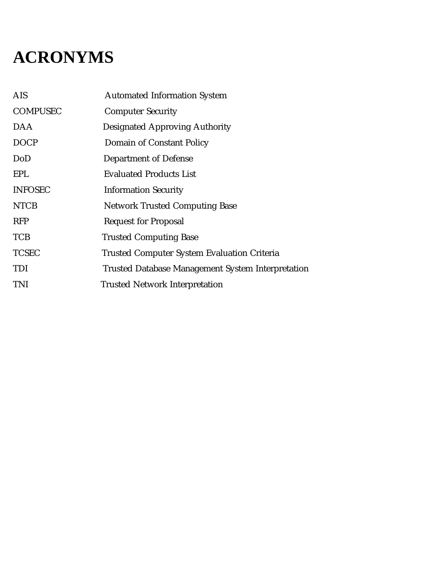# **ACRONYMS**

| <b>AIS</b>      | <b>Automated Information System</b>                      |
|-----------------|----------------------------------------------------------|
| <b>COMPUSEC</b> | <b>Computer Security</b>                                 |
| DAA             | <b>Designated Approving Authority</b>                    |
| <b>DOCP</b>     | Domain of Constant Policy                                |
| DoD             | <b>Department of Defense</b>                             |
| <b>EPL</b>      | <b>Evaluated Products List</b>                           |
| <b>INFOSEC</b>  | <b>Information Security</b>                              |
| <b>NTCB</b>     | <b>Network Trusted Computing Base</b>                    |
| <b>RFP</b>      | <b>Request for Proposal</b>                              |
| <b>TCB</b>      | <b>Trusted Computing Base</b>                            |
| <b>TCSEC</b>    | <b>Trusted Computer System Evaluation Criteria</b>       |
| <b>TDI</b>      | <b>Trusted Database Management System Interpretation</b> |
| <b>TNI</b>      | <b>Trusted Network Interpretation</b>                    |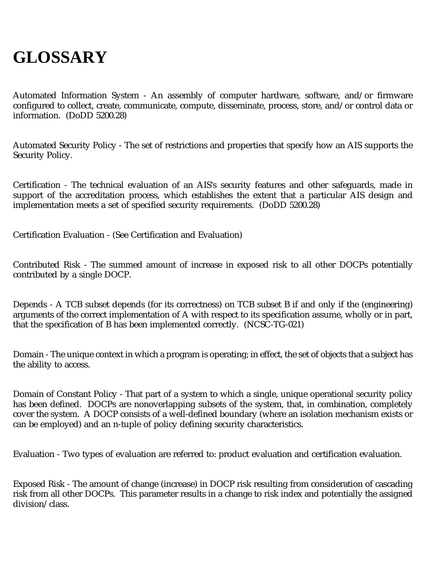# **GLOSSARY**

Automated Information System - An assembly of computer hardware, software, and/or firmware configured to collect, create, communicate, compute, disseminate, process, store, and/or control data or information. (DoDD 5200.28)

Automated Security Policy - The set of restrictions and properties that specify how an AIS supports the Security Policy.

Certification - The technical evaluation of an AIS's security features and other safeguards, made in support of the accreditation process, which establishes the extent that a particular AIS design and implementation meets a set of specified security requirements. (DoDD 5200.28)

Certification Evaluation - (See Certification and Evaluation)

Contributed Risk - The summed amount of increase in exposed risk to all other DOCPs potentially contributed by a single DOCP.

Depends - A TCB subset depends (for its correctness) on TCB subset B if and only if the (engineering) arguments of the correct implementation of A with respect to its specification assume, wholly or in part, that the specification of B has been implemented correctly. (NCSC-TG-021)

Domain - The unique context in which a program is operating; in effect, the set of objects that a subject has the ability to access.

Domain of Constant Policy - That part of a system to which a single, unique operational security policy has been defined. DOCPs are nonoverlapping subsets of the system, that, in combination, completely cover the system. A DOCP consists of a well-defined boundary (where an isolation mechanism exists or can be employed) and an n-tuple of policy defining security characteristics.

Evaluation - Two types of evaluation are referred to: product evaluation and certification evaluation.

Exposed Risk - The amount of change (increase) in DOCP risk resulting from consideration of cascading risk from all other DOCPs. This parameter results in a change to risk index and potentially the assigned division/class.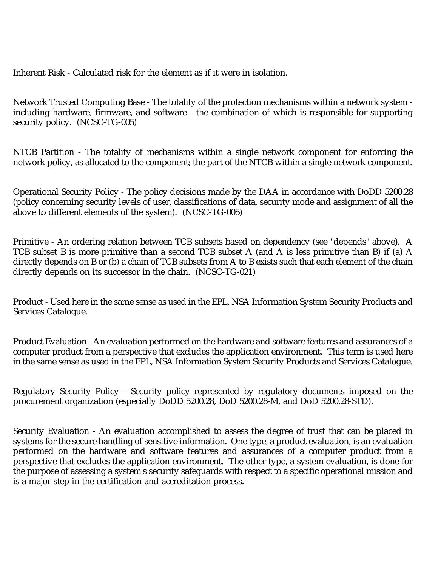Inherent Risk - Calculated risk for the element as if it were in isolation.

Network Trusted Computing Base - The totality of the protection mechanisms within a network system including hardware, firmware, and software - the combination of which is responsible for supporting security policy. (NCSC-TG-005)

NTCB Partition - The totality of mechanisms within a single network component for enforcing the network policy, as allocated to the component; the part of the NTCB within a single network component.

Operational Security Policy - The policy decisions made by the DAA in accordance with DoDD 5200.28 (policy concerning security levels of user, classifications of data, security mode and assignment of all the above to different elements of the system). (NCSC-TG-005)

Primitive - An ordering relation between TCB subsets based on dependency (see "depends" above). A TCB subset B is more primitive than a second TCB subset A (and A is less primitive than B) if (a) A directly depends on B or (b) a chain of TCB subsets from A to B exists such that each element of the chain directly depends on its successor in the chain. (NCSC-TG-021)

Product - Used here in the same sense as used in the EPL, NSA Information System Security Products and Services Catalogue.

Product Evaluation - An evaluation performed on the hardware and software features and assurances of a computer product from a perspective that excludes the application environment. This term is used here in the same sense as used in the EPL, NSA Information System Security Products and Services Catalogue.

Regulatory Security Policy - Security policy represented by regulatory documents imposed on the procurement organization (especially DoDD 5200.28, DoD 5200.28-M, and DoD 5200.28-STD).

Security Evaluation - An evaluation accomplished to assess the degree of trust that can be placed in systems for the secure handling of sensitive information. One type, a product evaluation, is an evaluation performed on the hardware and software features and assurances of a computer product from a perspective that excludes the application environment. The other type, a system evaluation, is done for the purpose of assessing a system's security safeguards with respect to a specific operational mission and is a major step in the certification and accreditation process.